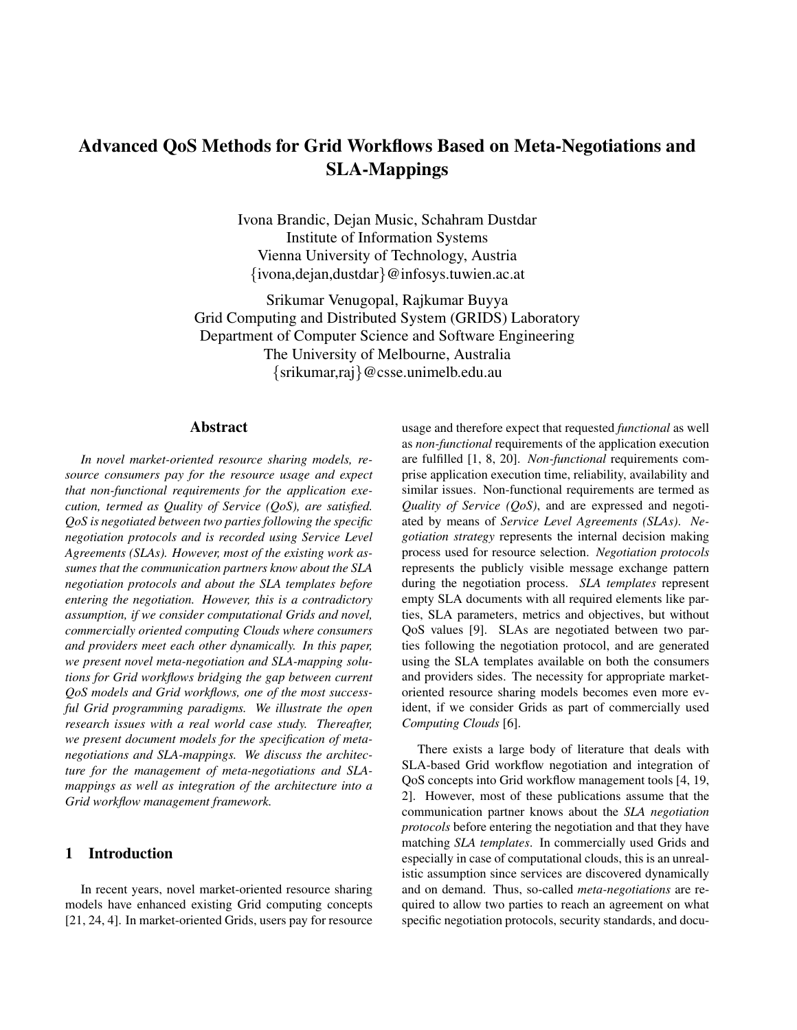# Advanced QoS Methods for Grid Workflows Based on Meta-Negotiations and SLA-Mappings

Ivona Brandic, Dejan Music, Schahram Dustdar Institute of Information Systems Vienna University of Technology, Austria {ivona,dejan,dustdar}@infosys.tuwien.ac.at

Srikumar Venugopal, Rajkumar Buyya Grid Computing and Distributed System (GRIDS) Laboratory Department of Computer Science and Software Engineering The University of Melbourne, Australia {srikumar,raj}@csse.unimelb.edu.au

## Abstract

*In novel market-oriented resource sharing models, resource consumers pay for the resource usage and expect that non-functional requirements for the application execution, termed as Quality of Service (QoS), are satisfied. QoS is negotiated between two parties following the specific negotiation protocols and is recorded using Service Level Agreements (SLAs). However, most of the existing work assumes that the communication partners know about the SLA negotiation protocols and about the SLA templates before entering the negotiation. However, this is a contradictory assumption, if we consider computational Grids and novel, commercially oriented computing Clouds where consumers and providers meet each other dynamically. In this paper, we present novel meta-negotiation and SLA-mapping solutions for Grid workflows bridging the gap between current QoS models and Grid workflows, one of the most successful Grid programming paradigms. We illustrate the open research issues with a real world case study. Thereafter, we present document models for the specification of metanegotiations and SLA-mappings. We discuss the architecture for the management of meta-negotiations and SLAmappings as well as integration of the architecture into a Grid workflow management framework.*

# 1 Introduction

In recent years, novel market-oriented resource sharing models have enhanced existing Grid computing concepts [21, 24, 4]. In market-oriented Grids, users pay for resource usage and therefore expect that requested *functional* as well as *non-functional* requirements of the application execution are fulfilled [1, 8, 20]. *Non-functional* requirements comprise application execution time, reliability, availability and similar issues. Non-functional requirements are termed as *Quality of Service (QoS)*, and are expressed and negotiated by means of *Service Level Agreements (SLAs)*. *Negotiation strategy* represents the internal decision making process used for resource selection. *Negotiation protocols* represents the publicly visible message exchange pattern during the negotiation process. *SLA templates* represent empty SLA documents with all required elements like parties, SLA parameters, metrics and objectives, but without QoS values [9]. SLAs are negotiated between two parties following the negotiation protocol, and are generated using the SLA templates available on both the consumers and providers sides. The necessity for appropriate marketoriented resource sharing models becomes even more evident, if we consider Grids as part of commercially used *Computing Clouds* [6].

There exists a large body of literature that deals with SLA-based Grid workflow negotiation and integration of QoS concepts into Grid workflow management tools [4, 19, 2]. However, most of these publications assume that the communication partner knows about the *SLA negotiation protocols* before entering the negotiation and that they have matching *SLA templates*. In commercially used Grids and especially in case of computational clouds, this is an unrealistic assumption since services are discovered dynamically and on demand. Thus, so-called *meta-negotiations* are required to allow two parties to reach an agreement on what specific negotiation protocols, security standards, and docu-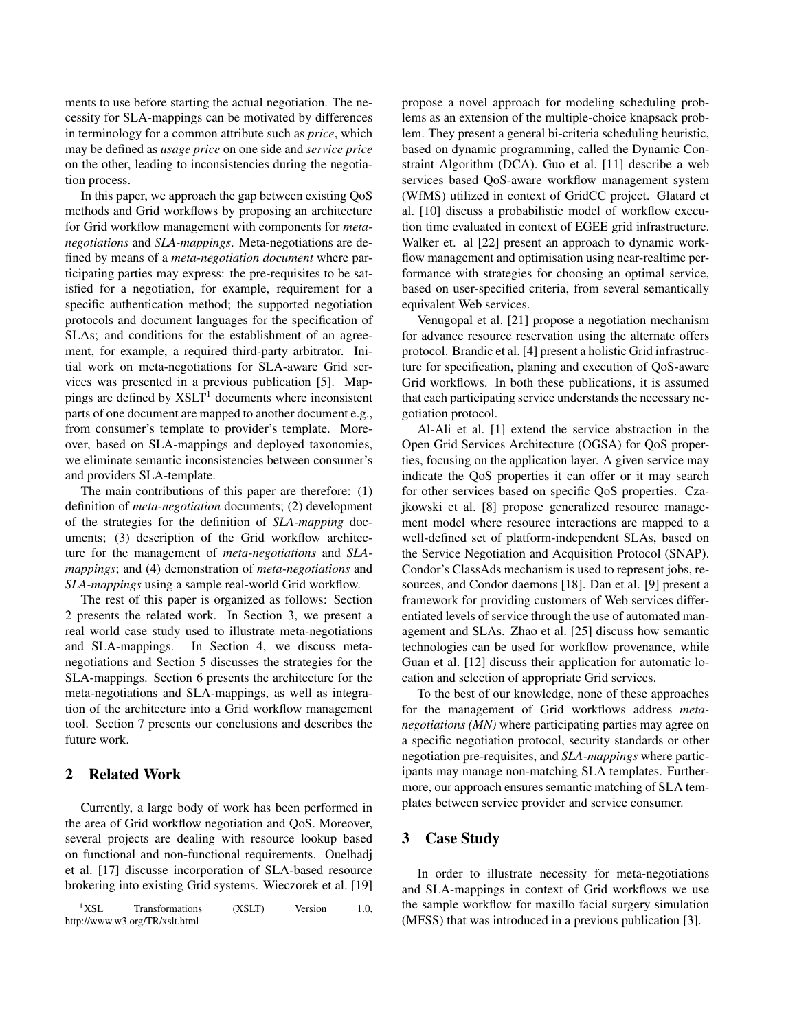ments to use before starting the actual negotiation. The necessity for SLA-mappings can be motivated by differences in terminology for a common attribute such as *price*, which may be defined as *usage price* on one side and *service price* on the other, leading to inconsistencies during the negotiation process.

In this paper, we approach the gap between existing QoS methods and Grid workflows by proposing an architecture for Grid workflow management with components for *metanegotiations* and *SLA-mappings*. Meta-negotiations are defined by means of a *meta-negotiation document* where participating parties may express: the pre-requisites to be satisfied for a negotiation, for example, requirement for a specific authentication method; the supported negotiation protocols and document languages for the specification of SLAs; and conditions for the establishment of an agreement, for example, a required third-party arbitrator. Initial work on meta-negotiations for SLA-aware Grid services was presented in a previous publication [5]. Mappings are defined by  $XSLT<sup>1</sup>$  documents where inconsistent parts of one document are mapped to another document e.g., from consumer's template to provider's template. Moreover, based on SLA-mappings and deployed taxonomies, we eliminate semantic inconsistencies between consumer's and providers SLA-template.

The main contributions of this paper are therefore: (1) definition of *meta-negotiation* documents; (2) development of the strategies for the definition of *SLA-mapping* documents; (3) description of the Grid workflow architecture for the management of *meta-negotiations* and *SLAmappings*; and (4) demonstration of *meta-negotiations* and *SLA-mappings* using a sample real-world Grid workflow.

The rest of this paper is organized as follows: Section 2 presents the related work. In Section 3, we present a real world case study used to illustrate meta-negotiations and SLA-mappings. In Section 4, we discuss metanegotiations and Section 5 discusses the strategies for the SLA-mappings. Section 6 presents the architecture for the meta-negotiations and SLA-mappings, as well as integration of the architecture into a Grid workflow management tool. Section 7 presents our conclusions and describes the future work.

# 2 Related Work

Currently, a large body of work has been performed in the area of Grid workflow negotiation and QoS. Moreover, several projects are dealing with resource lookup based on functional and non-functional requirements. Ouelhadj et al. [17] discusse incorporation of SLA-based resource brokering into existing Grid systems. Wieczorek et al. [19] propose a novel approach for modeling scheduling problems as an extension of the multiple-choice knapsack problem. They present a general bi-criteria scheduling heuristic, based on dynamic programming, called the Dynamic Constraint Algorithm (DCA). Guo et al. [11] describe a web services based QoS-aware workflow management system (WfMS) utilized in context of GridCC project. Glatard et al. [10] discuss a probabilistic model of workflow execution time evaluated in context of EGEE grid infrastructure. Walker et. al [22] present an approach to dynamic workflow management and optimisation using near-realtime performance with strategies for choosing an optimal service, based on user-specified criteria, from several semantically equivalent Web services.

Venugopal et al. [21] propose a negotiation mechanism for advance resource reservation using the alternate offers protocol. Brandic et al. [4] present a holistic Grid infrastructure for specification, planing and execution of QoS-aware Grid workflows. In both these publications, it is assumed that each participating service understands the necessary negotiation protocol.

Al-Ali et al. [1] extend the service abstraction in the Open Grid Services Architecture (OGSA) for QoS properties, focusing on the application layer. A given service may indicate the QoS properties it can offer or it may search for other services based on specific QoS properties. Czajkowski et al. [8] propose generalized resource management model where resource interactions are mapped to a well-defined set of platform-independent SLAs, based on the Service Negotiation and Acquisition Protocol (SNAP). Condor's ClassAds mechanism is used to represent jobs, resources, and Condor daemons [18]. Dan et al. [9] present a framework for providing customers of Web services differentiated levels of service through the use of automated management and SLAs. Zhao et al. [25] discuss how semantic technologies can be used for workflow provenance, while Guan et al. [12] discuss their application for automatic location and selection of appropriate Grid services.

To the best of our knowledge, none of these approaches for the management of Grid workflows address *metanegotiations (MN)* where participating parties may agree on a specific negotiation protocol, security standards or other negotiation pre-requisites, and *SLA-mappings* where participants may manage non-matching SLA templates. Furthermore, our approach ensures semantic matching of SLA templates between service provider and service consumer.

## 3 Case Study

In order to illustrate necessity for meta-negotiations and SLA-mappings in context of Grid workflows we use the sample workflow for maxillo facial surgery simulation (MFSS) that was introduced in a previous publication [3].

<sup>&</sup>lt;sup>1</sup>XSL Transformations (XSLT) Version 1.0, http://www.w3.org/TR/xslt.html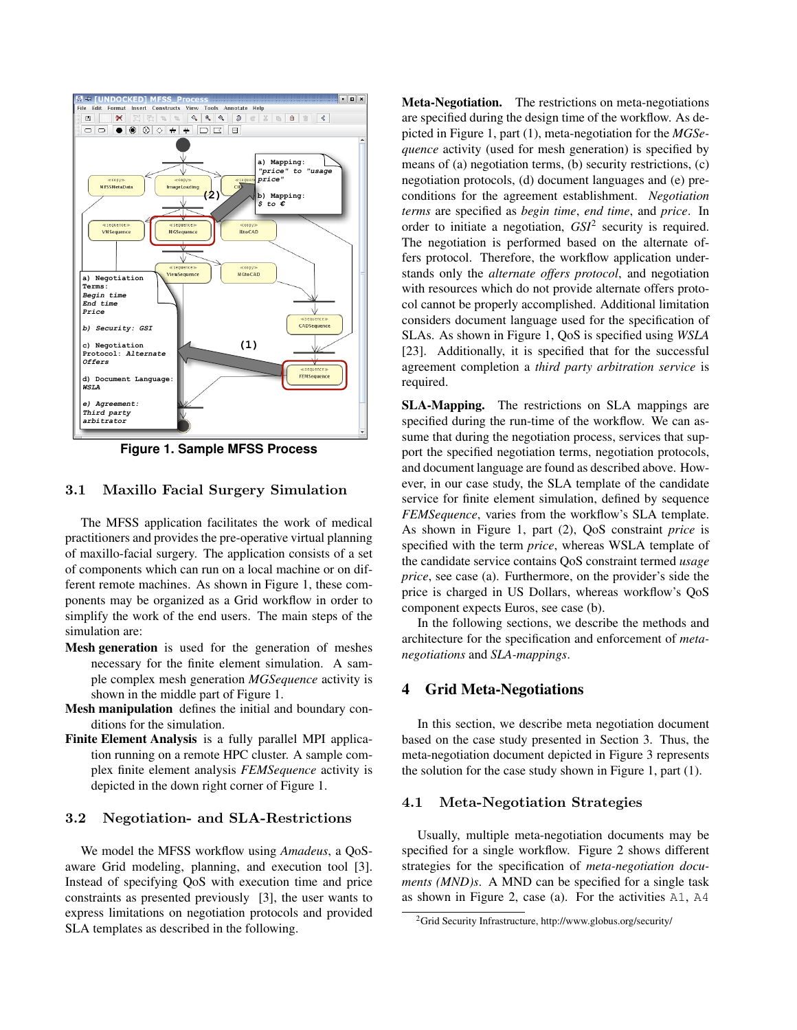

**Figure 1. Sample MFSS Process**

## 3.1 Maxillo Facial Surgery Simulation

The MFSS application facilitates the work of medical practitioners and provides the pre-operative virtual planning of maxillo-facial surgery. The application consists of a set of components which can run on a local machine or on different remote machines. As shown in Figure 1, these components may be organized as a Grid workflow in order to simplify the work of the end users. The main steps of the simulation are:

- Mesh generation is used for the generation of meshes necessary for the finite element simulation. A sample complex mesh generation *MGSequence* activity is shown in the middle part of Figure 1.
- Mesh manipulation defines the initial and boundary conditions for the simulation.
- Finite Element Analysis is a fully parallel MPI application running on a remote HPC cluster. A sample complex finite element analysis *FEMSequence* activity is depicted in the down right corner of Figure 1.

# 3.2 Negotiation- and SLA-Restrictions

We model the MFSS workflow using *Amadeus*, a QoSaware Grid modeling, planning, and execution tool [3]. Instead of specifying QoS with execution time and price constraints as presented previously [3], the user wants to express limitations on negotiation protocols and provided SLA templates as described in the following.

Meta-Negotiation. The restrictions on meta-negotiations are specified during the design time of the workflow. As depicted in Figure 1, part (1), meta-negotiation for the *MGSequence* activity (used for mesh generation) is specified by means of (a) negotiation terms, (b) security restrictions, (c) negotiation protocols, (d) document languages and (e) preconditions for the agreement establishment. *Negotiation terms* are specified as *begin time*, *end time*, and *price*. In order to initiate a negotiation, *GSI*<sup>2</sup> security is required. The negotiation is performed based on the alternate offers protocol. Therefore, the workflow application understands only the *alternate offers protocol*, and negotiation with resources which do not provide alternate offers protocol cannot be properly accomplished. Additional limitation considers document language used for the specification of SLAs. As shown in Figure 1, QoS is specified using *WSLA* [23]. Additionally, it is specified that for the successful agreement completion a *third party arbitration service* is required.

SLA-Mapping. The restrictions on SLA mappings are specified during the run-time of the workflow. We can assume that during the negotiation process, services that support the specified negotiation terms, negotiation protocols, and document language are found as described above. However, in our case study, the SLA template of the candidate service for finite element simulation, defined by sequence *FEMSequence*, varies from the workflow's SLA template. As shown in Figure 1, part (2), QoS constraint *price* is specified with the term *price*, whereas WSLA template of the candidate service contains QoS constraint termed *usage price*, see case (a). Furthermore, on the provider's side the price is charged in US Dollars, whereas workflow's QoS component expects Euros, see case (b).

In the following sections, we describe the methods and architecture for the specification and enforcement of *metanegotiations* and *SLA-mappings*.

# 4 Grid Meta-Negotiations

In this section, we describe meta negotiation document based on the case study presented in Section 3. Thus, the meta-negotiation document depicted in Figure 3 represents the solution for the case study shown in Figure 1, part (1).

#### 4.1 Meta-Negotiation Strategies

Usually, multiple meta-negotiation documents may be specified for a single workflow. Figure 2 shows different strategies for the specification of *meta-negotiation documents (MND)s*. A MND can be specified for a single task as shown in Figure 2, case (a). For the activities A1, A4

<sup>2</sup>Grid Security Infrastructure, http://www.globus.org/security/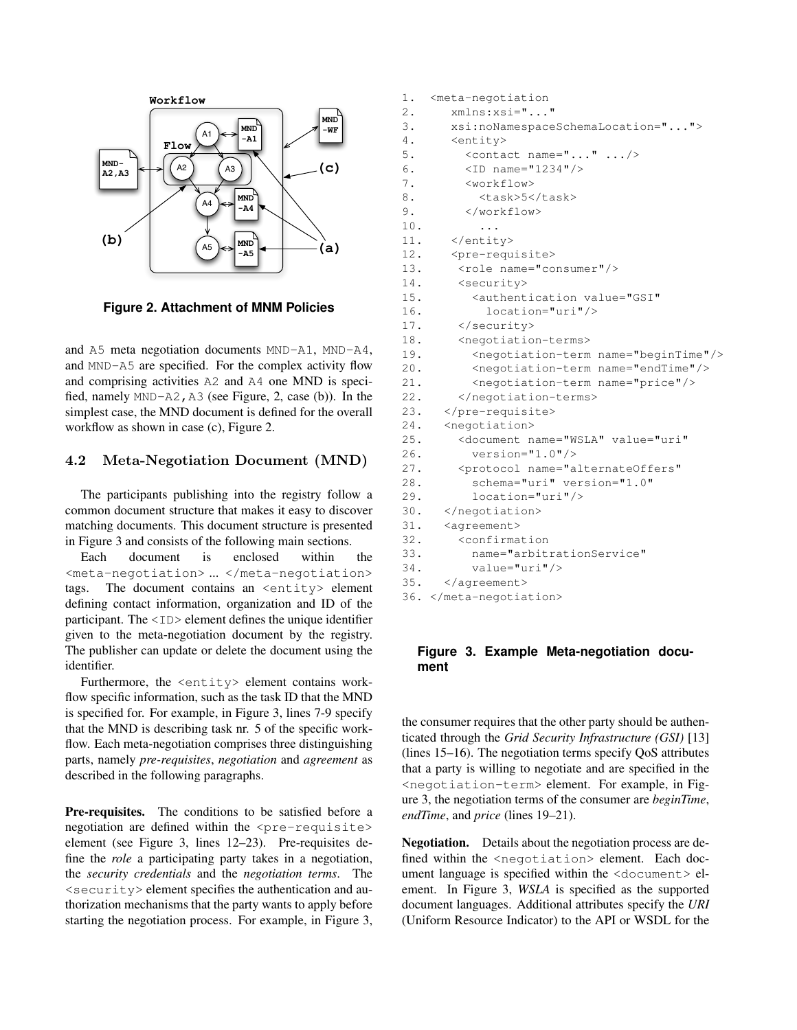

**Figure 2. Attachment of MNM Policies**

and A5 meta negotiation documents MND-A1, MND-A4, and MND-A5 are specified. For the complex activity flow and comprising activities A2 and A4 one MND is specified, namely MND-A2,A3 (see Figure, 2, case (b)). In the simplest case, the MND document is defined for the overall workflow as shown in case (c), Figure 2.

# 4.2 Meta-Negotiation Document (MND)

The participants publishing into the registry follow a common document structure that makes it easy to discover matching documents. This document structure is presented in Figure 3 and consists of the following main sections.

Each document is enclosed within the <meta-negotiation> ... </meta-negotiation> tags. The document contains an <entity> element defining contact information, organization and ID of the participant. The <ID> element defines the unique identifier given to the meta-negotiation document by the registry. The publisher can update or delete the document using the identifier.

Furthermore, the <entity> element contains workflow specific information, such as the task ID that the MND is specified for. For example, in Figure 3, lines 7-9 specify that the MND is describing task nr. 5 of the specific workflow. Each meta-negotiation comprises three distinguishing parts, namely *pre-requisites*, *negotiation* and *agreement* as described in the following paragraphs.

Pre-requisites. The conditions to be satisfied before a negotiation are defined within the  $\langle$ pre-requisite> element (see Figure 3, lines 12–23). Pre-requisites define the *role* a participating party takes in a negotiation, the *security credentials* and the *negotiation terms*. The <security> element specifies the authentication and authorization mechanisms that the party wants to apply before starting the negotiation process. For example, in Figure 3,

```
1. <meta-negotiation
2. xmlns:xsi="..."
3. xsi:noNamespaceSchemaLocation="...">
4. <entity>
5. \leq \leq \leq \leq \leq \leq \leq \leq \leq \leq \leq \leq \leq \leq \leq \leq \leq \leq \leq \leq \leq \leq \leq \leq \leq \leq \leq \leq \leq \leq \leq \leq \leq \leq \leq \leq \6. <ID name="1234"/>
         7. <workflow>
8. <task>5</task>
9. </workflow>
10. ...
11. </entity>
12. <pre-requisite>
13. <role name="consumer"/>
14. <security>
15. <authentication value="GSI"
16. location="uri"/>
17. </security>
18. <negotiation-terms>
19. <negotiation-term name="beginTime"/>
20. <negotiation-term name="endTime"/>
21. <negotiation-term name="price"/>
22. </negotiation-terms>
23. </pre-requisite>
24. <negotiation>
25. <document name="WSLA" value="uri"
26. version="1.0"/>
27. <protocol name="alternateOffers"
28. schema="uri" version="1.0"
29. location="uri"/>
30. </negotiation>
31. <agreement>
32. <confirmation
33. name="arbitrationService"
34. value="uri"/>
35. </agreement>
36. </meta-negotiation>
```
# **Figure 3. Example Meta-negotiation document**

the consumer requires that the other party should be authenticated through the *Grid Security Infrastructure (GSI)* [13] (lines 15–16). The negotiation terms specify QoS attributes that a party is willing to negotiate and are specified in the <negotiation-term> element. For example, in Figure 3, the negotiation terms of the consumer are *beginTime*, *endTime*, and *price* (lines 19–21).

Negotiation. Details about the negotiation process are defined within the <negotiation> element. Each document language is specified within the <document> element. In Figure 3, *WSLA* is specified as the supported document languages. Additional attributes specify the *URI* (Uniform Resource Indicator) to the API or WSDL for the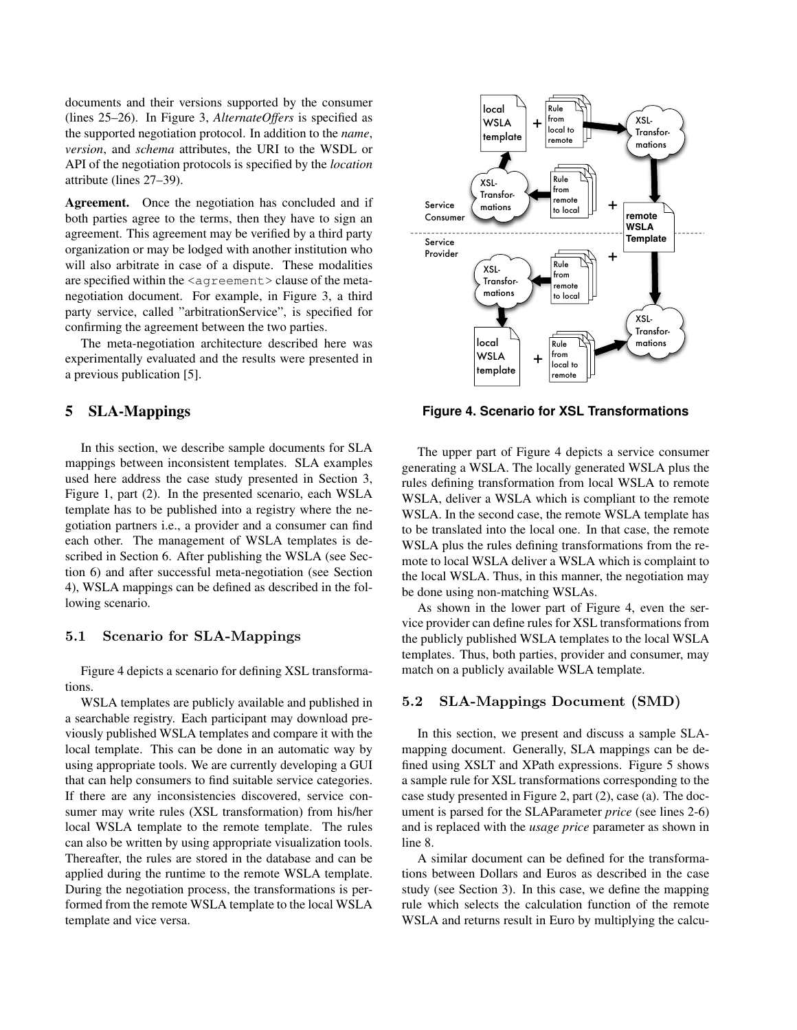documents and their versions supported by the consumer (lines 25–26). In Figure 3, *AlternateOffers* is specified as the supported negotiation protocol. In addition to the *name*, *version*, and *schema* attributes, the URI to the WSDL or API of the negotiation protocols is specified by the *location* attribute (lines 27–39).

Agreement. Once the negotiation has concluded and if both parties agree to the terms, then they have to sign an agreement. This agreement may be verified by a third party organization or may be lodged with another institution who will also arbitrate in case of a dispute. These modalities are specified within the  $\langle$  agreement  $\rangle$  clause of the metanegotiation document. For example, in Figure 3, a third party service, called "arbitrationService", is specified for confirming the agreement between the two parties.

The meta-negotiation architecture described here was experimentally evaluated and the results were presented in a previous publication [5].

## 5 SLA-Mappings

In this section, we describe sample documents for SLA mappings between inconsistent templates. SLA examples used here address the case study presented in Section 3, Figure 1, part (2). In the presented scenario, each WSLA template has to be published into a registry where the negotiation partners i.e., a provider and a consumer can find each other. The management of WSLA templates is described in Section 6. After publishing the WSLA (see Section 6) and after successful meta-negotiation (see Section 4), WSLA mappings can be defined as described in the following scenario.

## 5.1 Scenario for SLA-Mappings

Figure 4 depicts a scenario for defining XSL transformations.

WSLA templates are publicly available and published in a searchable registry. Each participant may download previously published WSLA templates and compare it with the local template. This can be done in an automatic way by using appropriate tools. We are currently developing a GUI that can help consumers to find suitable service categories. If there are any inconsistencies discovered, service consumer may write rules (XSL transformation) from his/her local WSLA template to the remote template. The rules can also be written by using appropriate visualization tools. Thereafter, the rules are stored in the database and can be applied during the runtime to the remote WSLA template. During the negotiation process, the transformations is performed from the remote WSLA template to the local WSLA template and vice versa.



**Figure 4. Scenario for XSL Transformations**

The upper part of Figure 4 depicts a service consumer generating a WSLA. The locally generated WSLA plus the rules defining transformation from local WSLA to remote WSLA, deliver a WSLA which is compliant to the remote WSLA. In the second case, the remote WSLA template has to be translated into the local one. In that case, the remote WSLA plus the rules defining transformations from the remote to local WSLA deliver a WSLA which is complaint to the local WSLA. Thus, in this manner, the negotiation may be done using non-matching WSLAs.

As shown in the lower part of Figure 4, even the service provider can define rules for XSL transformations from the publicly published WSLA templates to the local WSLA templates. Thus, both parties, provider and consumer, may match on a publicly available WSLA template.

# 5.2 SLA-Mappings Document (SMD)

In this section, we present and discuss a sample SLAmapping document. Generally, SLA mappings can be defined using XSLT and XPath expressions. Figure 5 shows a sample rule for XSL transformations corresponding to the case study presented in Figure 2, part (2), case (a). The document is parsed for the SLAParameter *price* (see lines 2-6) and is replaced with the *usage price* parameter as shown in line 8.

A similar document can be defined for the transformations between Dollars and Euros as described in the case study (see Section 3). In this case, we define the mapping rule which selects the calculation function of the remote WSLA and returns result in Euro by multiplying the calcu-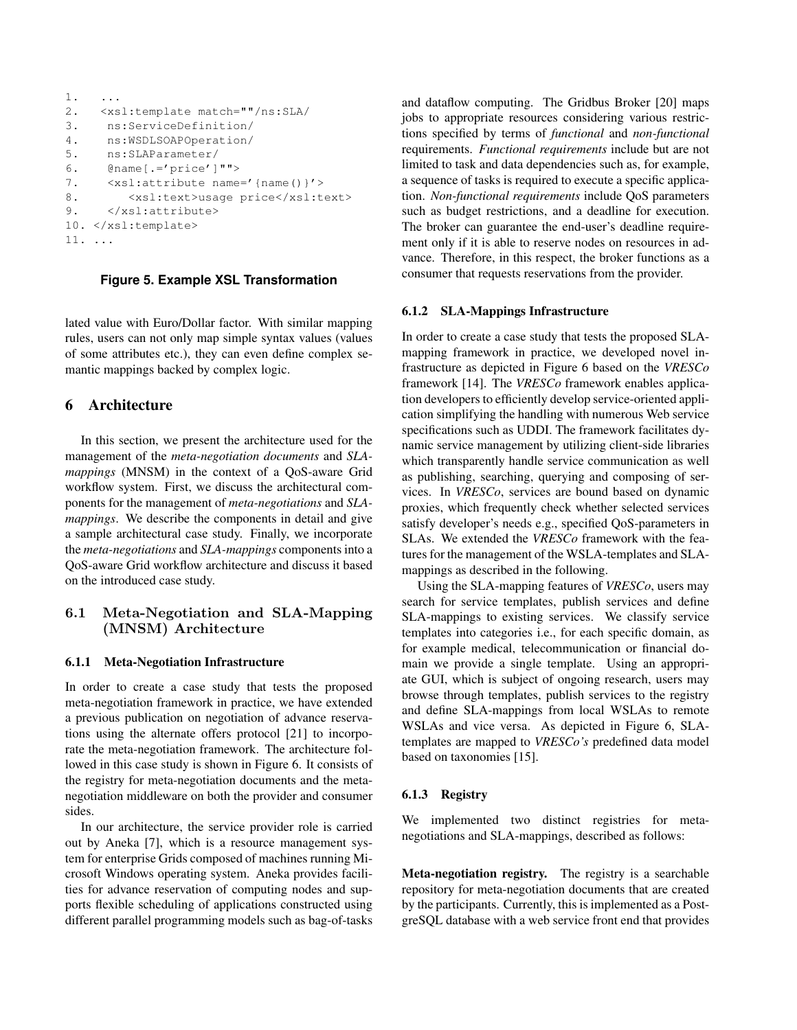```
1. ...
2. <xsl:template match=""/ns:SLA/
3. ns:ServiceDefinition/
4. ns:WSDLSOAPOperation/
5. ns:SLAParameter/
6. \qquad @name [.=' price']"">
7. <xsl:attribute name='{name()}'>
8. < xsl:text>usage price</xsl:text>
9. </xsl:attribute>
10. </xsl:template>
11. ...
```
## **Figure 5. Example XSL Transformation**

lated value with Euro/Dollar factor. With similar mapping rules, users can not only map simple syntax values (values of some attributes etc.), they can even define complex semantic mappings backed by complex logic.

## 6 Architecture

In this section, we present the architecture used for the management of the *meta-negotiation documents* and *SLAmappings* (MNSM) in the context of a QoS-aware Grid workflow system. First, we discuss the architectural components for the management of *meta-negotiations* and *SLAmappings*. We describe the components in detail and give a sample architectural case study. Finally, we incorporate the *meta-negotiations* and *SLA-mappings* components into a QoS-aware Grid workflow architecture and discuss it based on the introduced case study.

# 6.1 Meta-Negotiation and SLA-Mapping (MNSM) Architecture

#### 6.1.1 Meta-Negotiation Infrastructure

In order to create a case study that tests the proposed meta-negotiation framework in practice, we have extended a previous publication on negotiation of advance reservations using the alternate offers protocol [21] to incorporate the meta-negotiation framework. The architecture followed in this case study is shown in Figure 6. It consists of the registry for meta-negotiation documents and the metanegotiation middleware on both the provider and consumer sides.

In our architecture, the service provider role is carried out by Aneka [7], which is a resource management system for enterprise Grids composed of machines running Microsoft Windows operating system. Aneka provides facilities for advance reservation of computing nodes and supports flexible scheduling of applications constructed using different parallel programming models such as bag-of-tasks and dataflow computing. The Gridbus Broker [20] maps jobs to appropriate resources considering various restrictions specified by terms of *functional* and *non-functional* requirements. *Functional requirements* include but are not limited to task and data dependencies such as, for example, a sequence of tasks is required to execute a specific application. *Non-functional requirements* include QoS parameters such as budget restrictions, and a deadline for execution. The broker can guarantee the end-user's deadline requirement only if it is able to reserve nodes on resources in advance. Therefore, in this respect, the broker functions as a consumer that requests reservations from the provider.

#### 6.1.2 SLA-Mappings Infrastructure

In order to create a case study that tests the proposed SLAmapping framework in practice, we developed novel infrastructure as depicted in Figure 6 based on the *VRESCo* framework [14]. The *VRESCo* framework enables application developers to efficiently develop service-oriented application simplifying the handling with numerous Web service specifications such as UDDI. The framework facilitates dynamic service management by utilizing client-side libraries which transparently handle service communication as well as publishing, searching, querying and composing of services. In *VRESCo*, services are bound based on dynamic proxies, which frequently check whether selected services satisfy developer's needs e.g., specified QoS-parameters in SLAs. We extended the *VRESCo* framework with the features for the management of the WSLA-templates and SLAmappings as described in the following.

Using the SLA-mapping features of *VRESCo*, users may search for service templates, publish services and define SLA-mappings to existing services. We classify service templates into categories i.e., for each specific domain, as for example medical, telecommunication or financial domain we provide a single template. Using an appropriate GUI, which is subject of ongoing research, users may browse through templates, publish services to the registry and define SLA-mappings from local WSLAs to remote WSLAs and vice versa. As depicted in Figure 6, SLAtemplates are mapped to *VRESCo's* predefined data model based on taxonomies [15].

#### 6.1.3 Registry

We implemented two distinct registries for metanegotiations and SLA-mappings, described as follows:

Meta-negotiation registry. The registry is a searchable repository for meta-negotiation documents that are created by the participants. Currently, this is implemented as a PostgreSQL database with a web service front end that provides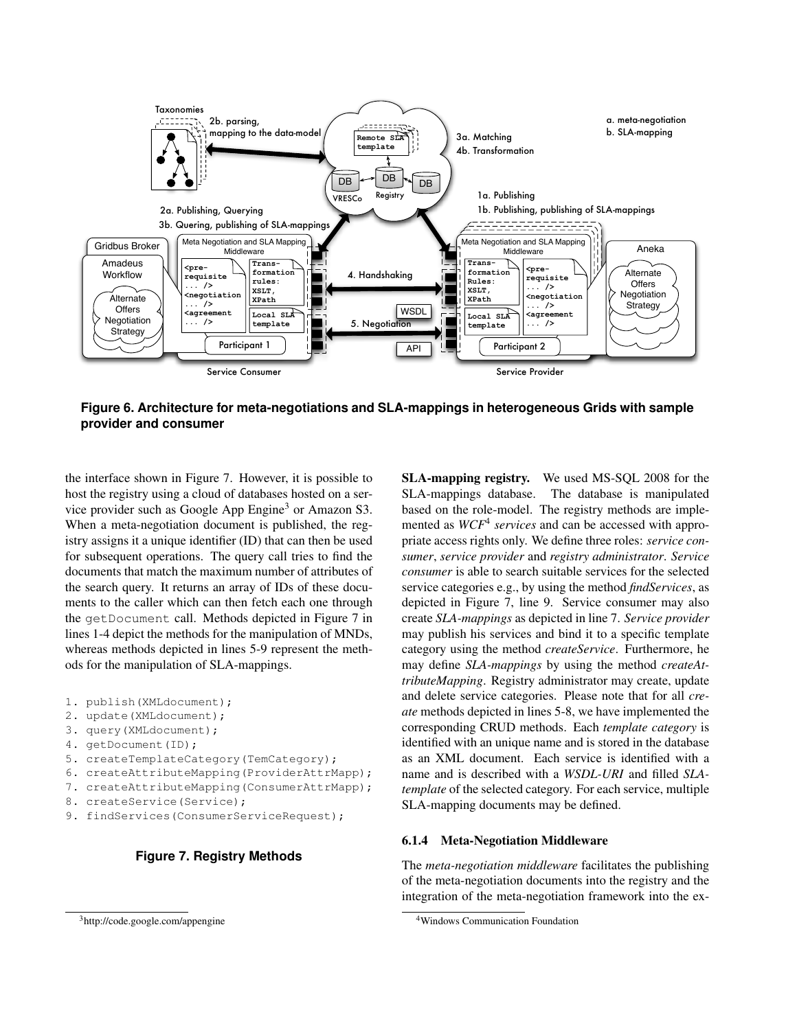

**Figure 6. Architecture for meta-negotiations and SLA-mappings in heterogeneous Grids with sample provider and consumer**

the interface shown in Figure 7. However, it is possible to host the registry using a cloud of databases hosted on a service provider such as Google App Engine<sup>3</sup> or Amazon S3. When a meta-negotiation document is published, the registry assigns it a unique identifier (ID) that can then be used for subsequent operations. The query call tries to find the documents that match the maximum number of attributes of the search query. It returns an array of IDs of these documents to the caller which can then fetch each one through the getDocument call. Methods depicted in Figure 7 in lines 1-4 depict the methods for the manipulation of MNDs, whereas methods depicted in lines 5-9 represent the methods for the manipulation of SLA-mappings.

```
1. publish(XMLdocument);
```
- 2. update(XMLdocument);
- 3. query(XMLdocument);
- 4. getDocument(ID);
- 5. createTemplateCategory(TemCategory);
- 6. createAttributeMapping(ProviderAttrMapp);
- 7. createAttributeMapping(ConsumerAttrMapp);
- 8. createService(Service);
- 9. findServices(ConsumerServiceRequest);

# **Figure 7. Registry Methods**

SLA-mapping registry. We used MS-SQL 2008 for the SLA-mappings database. The database is manipulated based on the role-model. The registry methods are implemented as *WCF*<sup>4</sup> *services* and can be accessed with appropriate access rights only. We define three roles: *service consumer*, *service provider* and *registry administrator*. *Service consumer* is able to search suitable services for the selected service categories e.g., by using the method *findServices*, as depicted in Figure 7, line 9. Service consumer may also create *SLA-mappings* as depicted in line 7. *Service provider* may publish his services and bind it to a specific template category using the method *createService*. Furthermore, he may define *SLA-mappings* by using the method *createAttributeMapping*. Registry administrator may create, update and delete service categories. Please note that for all *create* methods depicted in lines 5-8, we have implemented the corresponding CRUD methods. Each *template category* is identified with an unique name and is stored in the database as an XML document. Each service is identified with a name and is described with a *WSDL-URI* and filled *SLAtemplate* of the selected category. For each service, multiple SLA-mapping documents may be defined.

# 6.1.4 Meta-Negotiation Middleware

The *meta-negotiation middleware* facilitates the publishing of the meta-negotiation documents into the registry and the integration of the meta-negotiation framework into the ex-

<sup>&</sup>lt;sup>3</sup>http://code.google.com/appengine

<sup>4</sup>Windows Communication Foundation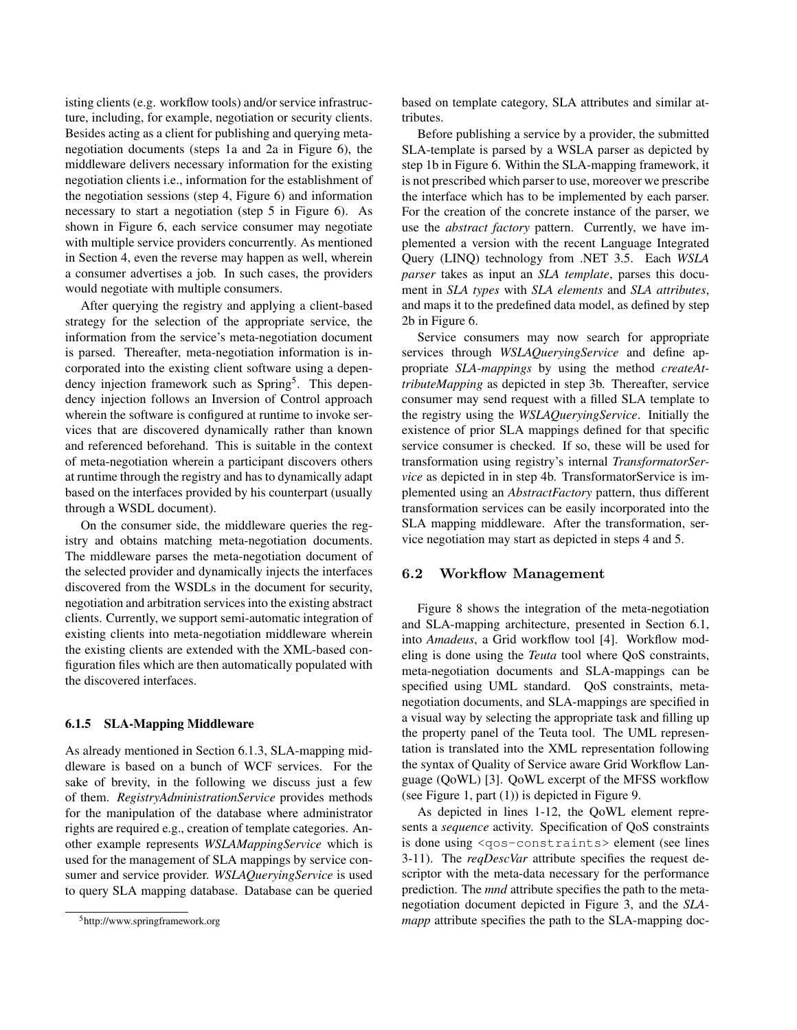isting clients (e.g. workflow tools) and/or service infrastructure, including, for example, negotiation or security clients. Besides acting as a client for publishing and querying metanegotiation documents (steps 1a and 2a in Figure 6), the middleware delivers necessary information for the existing negotiation clients i.e., information for the establishment of the negotiation sessions (step 4, Figure 6) and information necessary to start a negotiation (step 5 in Figure 6). As shown in Figure 6, each service consumer may negotiate with multiple service providers concurrently. As mentioned in Section 4, even the reverse may happen as well, wherein a consumer advertises a job. In such cases, the providers would negotiate with multiple consumers.

After querying the registry and applying a client-based strategy for the selection of the appropriate service, the information from the service's meta-negotiation document is parsed. Thereafter, meta-negotiation information is incorporated into the existing client software using a dependency injection framework such as Spring<sup>5</sup>. This dependency injection follows an Inversion of Control approach wherein the software is configured at runtime to invoke services that are discovered dynamically rather than known and referenced beforehand. This is suitable in the context of meta-negotiation wherein a participant discovers others at runtime through the registry and has to dynamically adapt based on the interfaces provided by his counterpart (usually through a WSDL document).

On the consumer side, the middleware queries the registry and obtains matching meta-negotiation documents. The middleware parses the meta-negotiation document of the selected provider and dynamically injects the interfaces discovered from the WSDLs in the document for security, negotiation and arbitration services into the existing abstract clients. Currently, we support semi-automatic integration of existing clients into meta-negotiation middleware wherein the existing clients are extended with the XML-based configuration files which are then automatically populated with the discovered interfaces.

#### 6.1.5 SLA-Mapping Middleware

As already mentioned in Section 6.1.3, SLA-mapping middleware is based on a bunch of WCF services. For the sake of brevity, in the following we discuss just a few of them. *RegistryAdministrationService* provides methods for the manipulation of the database where administrator rights are required e.g., creation of template categories. Another example represents *WSLAMappingService* which is used for the management of SLA mappings by service consumer and service provider. *WSLAQueryingService* is used to query SLA mapping database. Database can be queried

based on template category, SLA attributes and similar attributes.

Before publishing a service by a provider, the submitted SLA-template is parsed by a WSLA parser as depicted by step 1b in Figure 6. Within the SLA-mapping framework, it is not prescribed which parser to use, moreover we prescribe the interface which has to be implemented by each parser. For the creation of the concrete instance of the parser, we use the *abstract factory* pattern. Currently, we have implemented a version with the recent Language Integrated Query (LINQ) technology from .NET 3.5. Each *WSLA parser* takes as input an *SLA template*, parses this document in *SLA types* with *SLA elements* and *SLA attributes*, and maps it to the predefined data model, as defined by step 2b in Figure 6.

Service consumers may now search for appropriate services through *WSLAQueryingService* and define appropriate *SLA-mappings* by using the method *createAttributeMapping* as depicted in step 3b. Thereafter, service consumer may send request with a filled SLA template to the registry using the *WSLAQueryingService*. Initially the existence of prior SLA mappings defined for that specific service consumer is checked. If so, these will be used for transformation using registry's internal *TransformatorService* as depicted in in step 4b. TransformatorService is implemented using an *AbstractFactory* pattern, thus different transformation services can be easily incorporated into the SLA mapping middleware. After the transformation, service negotiation may start as depicted in steps 4 and 5.

## 6.2 Workflow Management

Figure 8 shows the integration of the meta-negotiation and SLA-mapping architecture, presented in Section 6.1, into *Amadeus*, a Grid workflow tool [4]. Workflow modeling is done using the *Teuta* tool where QoS constraints, meta-negotiation documents and SLA-mappings can be specified using UML standard. QoS constraints, metanegotiation documents, and SLA-mappings are specified in a visual way by selecting the appropriate task and filling up the property panel of the Teuta tool. The UML representation is translated into the XML representation following the syntax of Quality of Service aware Grid Workflow Language (QoWL) [3]. QoWL excerpt of the MFSS workflow (see Figure 1, part (1)) is depicted in Figure 9.

As depicted in lines 1-12, the QoWL element represents a *sequence* activity. Specification of QoS constraints is done using <qos-constraints> element (see lines 3-11). The *reqDescVar* attribute specifies the request descriptor with the meta-data necessary for the performance prediction. The *mnd* attribute specifies the path to the metanegotiation document depicted in Figure 3, and the *SLAmapp* attribute specifies the path to the SLA-mapping doc-

<sup>5</sup>http://www.springframework.org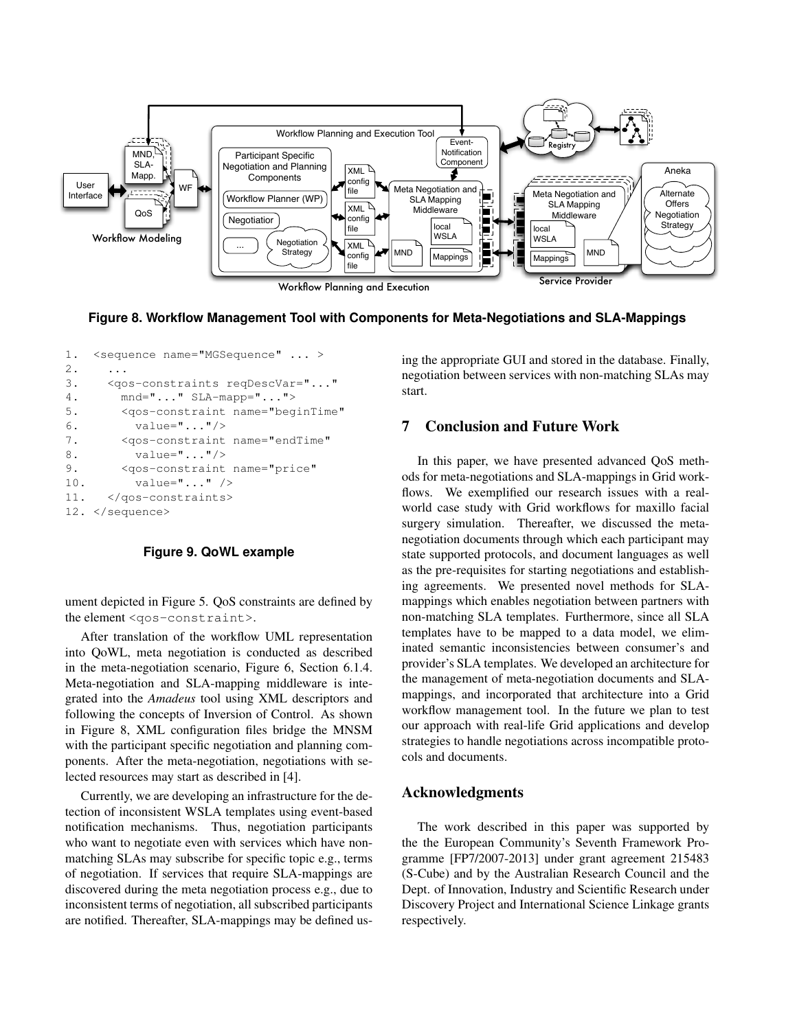

**Figure 8. Workflow Management Tool with Components for Meta-Negotiations and SLA-Mappings**

```
1. < sequence name="MGSequence" ... >
2. ...
3. <qos-constraints reqDescVar="..."
4. mnd="..." SLA-mapp="...">
5. <qos-constraint name="beginTime"
6. value="..."/>
7. <qos-constraint name="endTime"
8. value="..."/>
9. <qos-constraint name="price"
10. value="..." />
11. </qos-constraints>
12. </sequence>
```
### **Figure 9. QoWL example**

ument depicted in Figure 5. QoS constraints are defined by the element <qos-constraint>.

After translation of the workflow UML representation into QoWL, meta negotiation is conducted as described in the meta-negotiation scenario, Figure 6, Section 6.1.4. Meta-negotiation and SLA-mapping middleware is integrated into the *Amadeus* tool using XML descriptors and following the concepts of Inversion of Control. As shown in Figure 8, XML configuration files bridge the MNSM with the participant specific negotiation and planning components. After the meta-negotiation, negotiations with selected resources may start as described in [4].

Currently, we are developing an infrastructure for the detection of inconsistent WSLA templates using event-based notification mechanisms. Thus, negotiation participants who want to negotiate even with services which have nonmatching SLAs may subscribe for specific topic e.g., terms of negotiation. If services that require SLA-mappings are discovered during the meta negotiation process e.g., due to inconsistent terms of negotiation, all subscribed participants are notified. Thereafter, SLA-mappings may be defined using the appropriate GUI and stored in the database. Finally, negotiation between services with non-matching SLAs may start.

## 7 Conclusion and Future Work

In this paper, we have presented advanced QoS methods for meta-negotiations and SLA-mappings in Grid workflows. We exemplified our research issues with a realworld case study with Grid workflows for maxillo facial surgery simulation. Thereafter, we discussed the metanegotiation documents through which each participant may state supported protocols, and document languages as well as the pre-requisites for starting negotiations and establishing agreements. We presented novel methods for SLAmappings which enables negotiation between partners with non-matching SLA templates. Furthermore, since all SLA templates have to be mapped to a data model, we eliminated semantic inconsistencies between consumer's and provider's SLA templates. We developed an architecture for the management of meta-negotiation documents and SLAmappings, and incorporated that architecture into a Grid workflow management tool. In the future we plan to test our approach with real-life Grid applications and develop strategies to handle negotiations across incompatible protocols and documents.

# Acknowledgments

The work described in this paper was supported by the the European Community's Seventh Framework Programme [FP7/2007-2013] under grant agreement 215483 (S-Cube) and by the Australian Research Council and the Dept. of Innovation, Industry and Scientific Research under Discovery Project and International Science Linkage grants respectively.